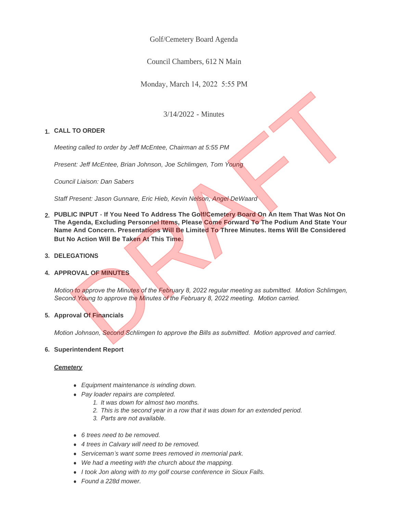Golf/Cemetery Board Agenda

Council Chambers, 612 N Main

Monday, March 14, 2022 5:55 PM

3/14/2022 - Minutes

# **CALL TO ORDER 1.**

*Meeting called to order by Jeff McEntee, Chairman at 5:55 PM*

*Present: Jeff McEntee, Brian Johnson, Joe Schlimgen, Tom Young*

*Council Liaison: Dan Sabers*

*Staff Present: Jason Gunnare, Eric Hieb, Kevin Nelson, Angel DeWaard*

- **PUBLIC INPUT If You Need To Address The Golf/Cemetery Board On An Item That Was Not On 2. The Agenda, Excluding Personnel Items, Please Come Forward To The Podium And State Your Name And Concern. Presentations Will Be Limited To Three Minutes. Items Will Be Considered But No Action Will Be Taken At This Time.** 3/14/2022 - Minutes<br>
ing called to order by Jeff McEntee, Chairman at 5:55 PM<br>
ment: Jeff McEntee, Brian Johnson, Joe Schlimgen, Tom Young<br>
ncil Liaison: Dan Sabors<br>
Present: Jason Gunnare, Eric Hieb, Kevin Nelson, Angel D
- **DELEGATIONS 3.**

## **4. APPROVAL OF MINUTES**

*Motion to approve the Minutes of the February 8, 2022 regular meeting as submitted. Motion Schlimgen, Second Young to approve the Minutes of the February 8, 2022 meeting. Motion carried.*

## **Approval Of Financials 5.**

*Motion Johnson, Second Schlimgen to approve the Bills as submitted. Motion approved and carried.*

## **Superintendent Report 6.**

## *Cemetery*

- **•** Equipment maintenance is winding down.
- **•** Pay loader repairs are completed.
	- *1. It was down for almost two months.*
	- *2. This is the second year in a row that it was down for an extended period.*
	- *3. Parts are not available.*
- **•** 6 trees need to be removed.
- **•** 4 trees in Calvary will need to be removed.
- **.** Serviceman's want some trees removed in memorial park.
- We had a meeting with the church about the mapping.
- **.** *I took Jon along with to my golf course conference in Sioux Falls.*
- <sup>l</sup> *Found a 228d mower.*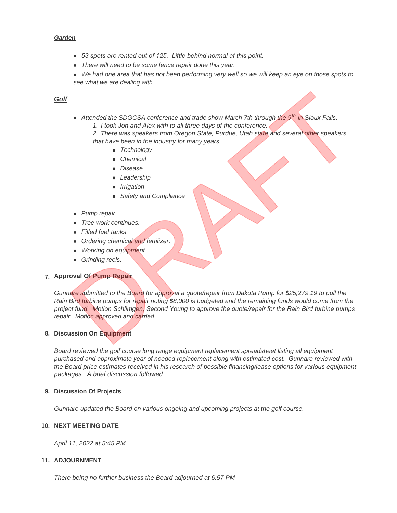### *Garden*

- **•** 53 spots are rented out of 125. Little behind normal at this point.
- There will need to be some fence repair done this year.
- We had one area that has not been performing very well so we will keep an eye on those spots to *see what we are dealing with.*

## *Golf*

**•** Attended the SDGCSA conference and trade show March 7th through the 9<sup>th</sup> in Sioux Falls. *1. I took Jon and Alex with to all three days of the conference.* 

*2. There was speakers from Oregon State, Purdue, Utah state and several other speakers that have been in the industry for many years.* 

- <sup>n</sup> *Technology*
- <sup>n</sup> *Chemical*
- <sup>n</sup> *Disease*
- <sup>n</sup> *Leadership*
- <sup>n</sup> *Irrigation*
- **n** Safety and Compliance
- **•** *Pump repair*
- **•** *Tree work continues.*
- **•** Filled fuel tanks.
- **•** Ordering chemical and fertilizer.
- **•** Working on equipment.
- **•** Grinding reels.

# **Approval Of Pump Repair 7.**

*Gunnare submitted to the Board for approval a quote/repair from Dakota Pump for \$25,279.19 to pull the Rain Bird turbine pumps for repair noting \$8,000 is budgeted and the remaining funds would come from the project fund. Motion Schlimgen, Second Young to approve the quote/repair for the Rain Bird turbine pumps repair. Motion approved and carried.* • Attended the SDGCSA conference and trade show March 7th through the 9<sup>th</sup> in Sioux Falls.<br>
1. I took Jon and Alex with to all three days of the conference.<br>
2. There was speakers form Oregon State, Purche, Utah state an

#### **Discussion On Equipment 8.**

*Board reviewed the golf course long range equipment replacement spreadsheet listing all equipment purchased and approximate year of needed replacement along with estimated cost. Gunnare reviewed with the Board price estimates received in his research of possible financing/lease options for various equipment packages. A brief discussion followed.*

#### **Discussion Of Projects 9.**

*Gunnare updated the Board on various ongoing and upcoming projects at the golf course.*

#### **NEXT MEETING DATE 10.**

*April 11, 2022 at 5:45 PM*

### **ADJOURNMENT 11.**

*There being no further business the Board adjourned at 6:57 PM*